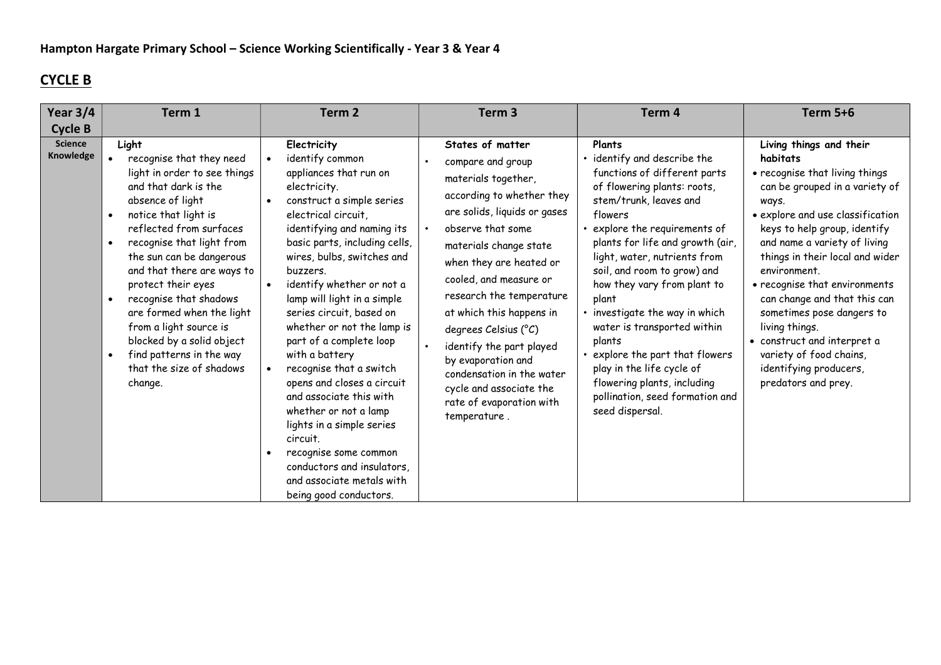## CYCLE B

| Year 3/4                    | Term 1                                                                                                                                                                                                                                                                                                                                                                                                                                                         | Term 2                                                                                                                                                                                                                                                                                                                                                                                                                                                                                                                                                                                                                                                                                    | Term <sub>3</sub>                                                                                                                                                                                                                                                                                                                                                                                                                                                   | Term 4                                                                                                                                                                                                                                                                                                                                                                                                                                                                                                                                            | <b>Term 5+6</b>                                                                                                                                                                                                                                                                                                                                                                                                                                                                                    |
|-----------------------------|----------------------------------------------------------------------------------------------------------------------------------------------------------------------------------------------------------------------------------------------------------------------------------------------------------------------------------------------------------------------------------------------------------------------------------------------------------------|-------------------------------------------------------------------------------------------------------------------------------------------------------------------------------------------------------------------------------------------------------------------------------------------------------------------------------------------------------------------------------------------------------------------------------------------------------------------------------------------------------------------------------------------------------------------------------------------------------------------------------------------------------------------------------------------|---------------------------------------------------------------------------------------------------------------------------------------------------------------------------------------------------------------------------------------------------------------------------------------------------------------------------------------------------------------------------------------------------------------------------------------------------------------------|---------------------------------------------------------------------------------------------------------------------------------------------------------------------------------------------------------------------------------------------------------------------------------------------------------------------------------------------------------------------------------------------------------------------------------------------------------------------------------------------------------------------------------------------------|----------------------------------------------------------------------------------------------------------------------------------------------------------------------------------------------------------------------------------------------------------------------------------------------------------------------------------------------------------------------------------------------------------------------------------------------------------------------------------------------------|
| <b>Cycle B</b>              |                                                                                                                                                                                                                                                                                                                                                                                                                                                                |                                                                                                                                                                                                                                                                                                                                                                                                                                                                                                                                                                                                                                                                                           |                                                                                                                                                                                                                                                                                                                                                                                                                                                                     |                                                                                                                                                                                                                                                                                                                                                                                                                                                                                                                                                   |                                                                                                                                                                                                                                                                                                                                                                                                                                                                                                    |
| <b>Science</b><br>Knowledge | Light<br>recognise that they need<br>light in order to see things<br>and that dark is the<br>absence of light<br>notice that light is<br>reflected from surfaces<br>recognise that light from<br>the sun can be dangerous<br>and that there are ways to<br>protect their eyes<br>recognise that shadows<br>are formed when the light<br>from a light source is<br>blocked by a solid object<br>find patterns in the way<br>that the size of shadows<br>change. | Electricity<br>identify common<br>appliances that run on<br>electricity.<br>construct a simple series<br>$\bullet$<br>electrical circuit,<br>identifying and naming its<br>basic parts, including cells,<br>wires, bulbs, switches and<br>buzzers.<br>identify whether or not a<br>lamp will light in a simple<br>series circuit, based on<br>whether or not the lamp is<br>part of a complete loop<br>with a battery<br>recognise that a switch<br>opens and closes a circuit<br>and associate this with<br>whether or not a lamp<br>lights in a simple series<br>circuit.<br>recognise some common<br>conductors and insulators,<br>and associate metals with<br>being good conductors. | States of matter<br>compare and group<br>materials together,<br>according to whether they<br>are solids, liquids or gases<br>observe that some<br>materials change state<br>when they are heated or<br>cooled, and measure or<br>research the temperature<br>at which this happens in<br>degrees Celsius (°C)<br>identify the part played<br>by evaporation and<br>condensation in the water<br>cycle and associate the<br>rate of evaporation with<br>temperature. | Plants<br>· identify and describe the<br>functions of different parts<br>of flowering plants: roots,<br>stem/trunk, leaves and<br>flowers<br>explore the requirements of<br>plants for life and growth (air,<br>light, water, nutrients from<br>soil, and room to grow) and<br>how they vary from plant to<br>plant<br>• investigate the way in which<br>water is transported within<br>plants<br>explore the part that flowers<br>play in the life cycle of<br>flowering plants, including<br>pollination, seed formation and<br>seed dispersal. | Living things and their<br>habitats<br>• recognise that living things<br>can be grouped in a variety of<br>ways.<br>• explore and use classification<br>keys to help group, identify<br>and name a variety of living<br>things in their local and wider<br>environment.<br>• recognise that environments<br>can change and that this can<br>sometimes pose dangers to<br>living things.<br>• construct and interpret a<br>variety of food chains,<br>identifying producers,<br>predators and prey. |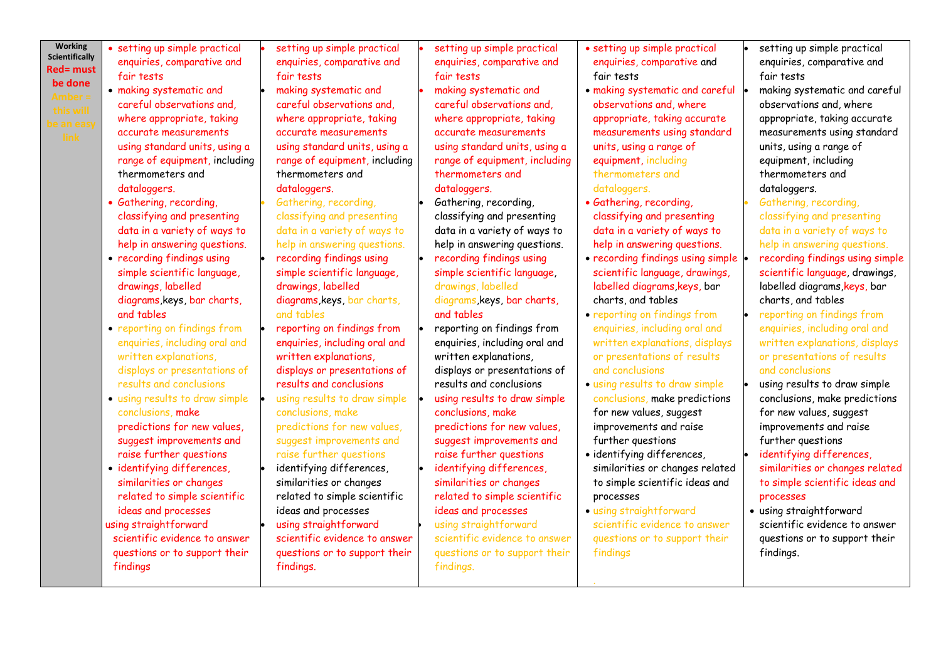**Working Scientifically** Red= must be done

 setting up simple practical enquiries, comparative and fair tests

- making systematic and careful observations and, where appropriate, taking accurate measurements using standard units, using a range of equipment, including thermometers and dataloggers.
- Gathering, recording, classifying and presenting data in a variety of ways to help in answering questions.
- recording findings using simple scientific language, drawings, labelled diagrams,keys, bar charts, and tables
- reporting on findings from enquiries, including oral and written explanations, displays or presentations of results and conclusions
- using results to draw simple conclusions, make predictions for new values, suggest improvements and raise further questions
- identifying differences, similarities or changes related to simple scientific ideas and processes using straightforward scientific evidence to answer questions or to support their findings

 setting up simple practical enquiries, comparative and fair tests making systematic and careful observations and, where appropriate, taking accurate measurements using standard units, using a range of equipment, including thermometers and dataloggers.

- Gathering, recording, classifying and presenting data in a variety of ways to help in answering questions. recording findings using simple scientific language, drawings, labelled diagrams,keys, bar charts, and tables
- reporting on findings from enquiries, including oral and written explanations, displays or presentations of results and conclusions using results to draw simple conclusions, make predictions for new values, suggest improvements and raise further questions
- identifying differences, similarities or changes related to simple scientific ideas and processes using straightforward scientific evidence to answer questions or to support their findings.

 setting up simple practical enquiries, comparative and fair tests

- making systematic and careful observations and, where appropriate, taking accurate measurements using standard units, using a range of equipment, including thermometers and dataloggers.
- Gathering, recording, classifying and presenting data in a variety of ways to help in answering questions.
- simple scientific language, drawings, labelled diagrams, keys, bar charts,
- and tables reporting on findings from enquiries, including oral and written explanations, displays or presentations of results and conclusions using results to draw simple conclusions, make predictions for new values, suggest improvements and raise further questions identifying differences, similarities or changes
- related to simple scientific ideas and processes

 using straightforward scientific evidence to answer questions or to support their findings.

- setting up simple practical enquiries, comparative and fair tests
- making systematic and careful observations and, where appropriate, taking accurate measurements using standard units, using a range of equipment, including thermometers and dataloggers.
- Gathering, recording, classifying and presenting data in a variety of ways to help in answering questions.
- recording findings using simple scientific language, drawings, labelled diagrams,keys, bar charts, and tables
- reporting on findings from enquiries, including oral and written explanations, displays or presentations of results and conclusions
- using results to draw simple conclusions, make predictions for new values, suggest improvements and raise further questions
- identifying differences, similarities or changes related to simple scientific ideas and processes
- using straightforward scientific evidence to answer questions or to support their findings

.

- setting up simple practical enquiries, comparative and fair tests
- making systematic and careful observations and, where appropriate, taking accurate measurements using standard units, using a range of equipment, including thermometers and dataloggers.
- Gathering, recording, classifying and presenting data in a variety of ways to help in answering questions.
- recording findings using simple scientific language, drawings, labelled diagrams, keys, bar charts, and tables
- reporting on findings from enquiries, including oral and written explanations, displays or presentations of results and conclusions
- using results to draw simple conclusions, make predictions for new values, suggest improvements and raise further questions
- identifying differences, similarities or changes related to simple scientific ideas and processes
- using straightforward scientific evidence to answer questions or to support their findings.